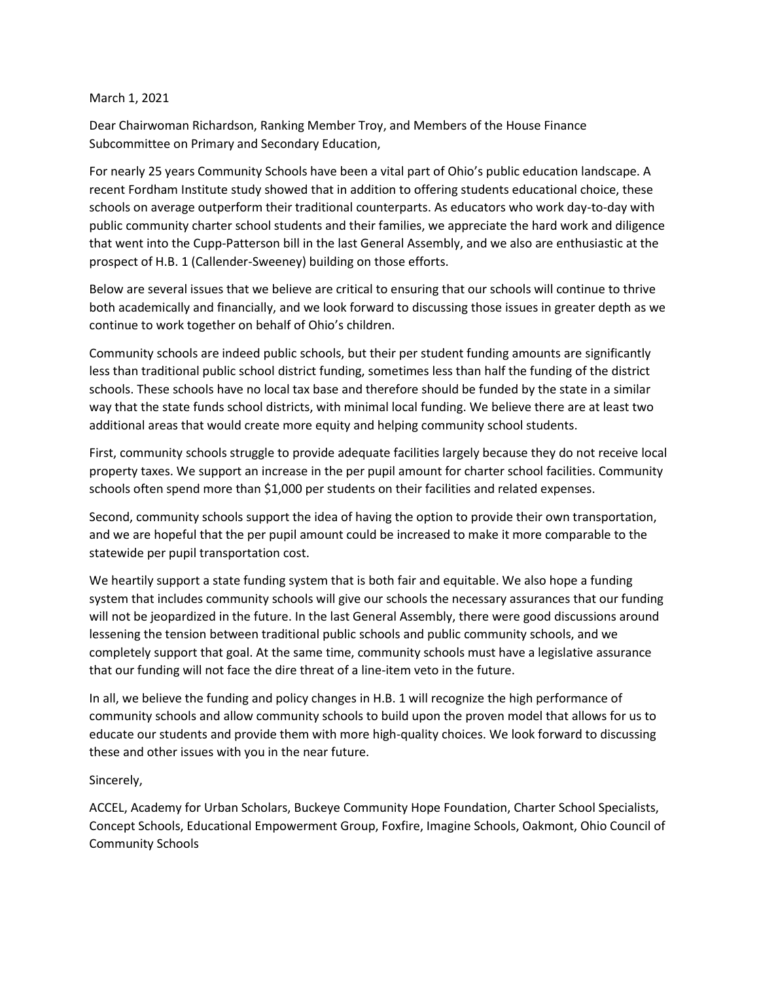## March 1, 2021

Dear Chairwoman Richardson, Ranking Member Troy, and Members of the House Finance Subcommittee on Primary and Secondary Education,

For nearly 25 years Community Schools have been a vital part of Ohio's public education landscape. A recent Fordham Institute study showed that in addition to offering students educational choice, these schools on average outperform their traditional counterparts. As educators who work day-to-day with public community charter school students and their families, we appreciate the hard work and diligence that went into the Cupp-Patterson bill in the last General Assembly, and we also are enthusiastic at the prospect of H.B. 1 (Callender-Sweeney) building on those efforts.

Below are several issues that we believe are critical to ensuring that our schools will continue to thrive both academically and financially, and we look forward to discussing those issues in greater depth as we continue to work together on behalf of Ohio's children.

Community schools are indeed public schools, but their per student funding amounts are significantly less than traditional public school district funding, sometimes less than half the funding of the district schools. These schools have no local tax base and therefore should be funded by the state in a similar way that the state funds school districts, with minimal local funding. We believe there are at least two additional areas that would create more equity and helping community school students.

First, community schools struggle to provide adequate facilities largely because they do not receive local property taxes. We support an increase in the per pupil amount for charter school facilities. Community schools often spend more than \$1,000 per students on their facilities and related expenses.

Second, community schools support the idea of having the option to provide their own transportation, and we are hopeful that the per pupil amount could be increased to make it more comparable to the statewide per pupil transportation cost.

We heartily support a state funding system that is both fair and equitable. We also hope a funding system that includes community schools will give our schools the necessary assurances that our funding will not be jeopardized in the future. In the last General Assembly, there were good discussions around lessening the tension between traditional public schools and public community schools, and we completely support that goal. At the same time, community schools must have a legislative assurance that our funding will not face the dire threat of a line-item veto in the future.

In all, we believe the funding and policy changes in H.B. 1 will recognize the high performance of community schools and allow community schools to build upon the proven model that allows for us to educate our students and provide them with more high-quality choices. We look forward to discussing these and other issues with you in the near future.

## Sincerely,

ACCEL, Academy for Urban Scholars, Buckeye Community Hope Foundation, Charter School Specialists, Concept Schools, Educational Empowerment Group, Foxfire, Imagine Schools, Oakmont, Ohio Council of Community Schools